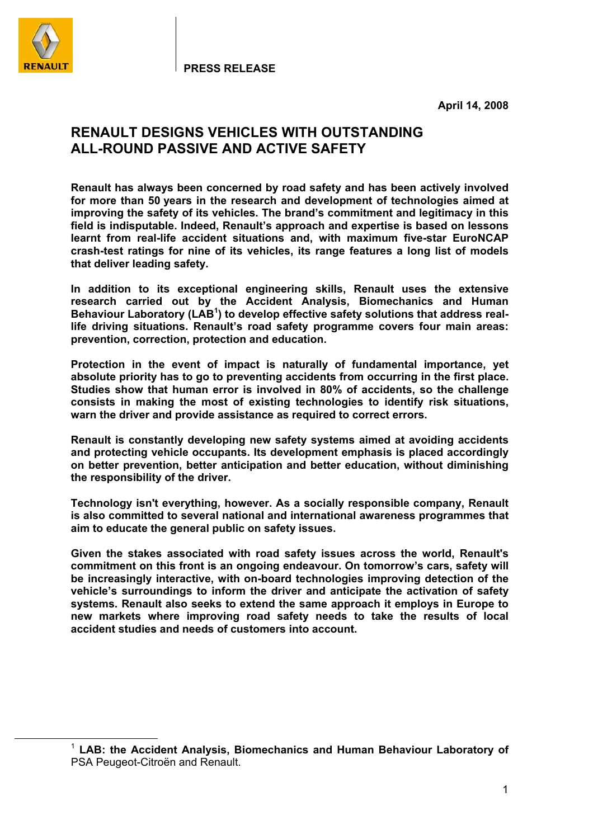

**April 14, 2008** 

# **RENAULT DESIGNS VEHICLES WITH OUTSTANDING ALL-ROUND PASSIVE AND ACTIVE SAFETY**

**Renault has always been concerned by road safety and has been actively involved for more than 50 years in the research and development of technologies aimed at improving the safety of its vehicles. The brand's commitment and legitimacy in this field is indisputable. Indeed, Renault's approach and expertise is based on lessons learnt from real-life accident situations and, with maximum five-star EuroNCAP crash-test ratings for nine of its vehicles, its range features a long list of models that deliver leading safety.** 

**In addition to its exceptional engineering skills, Renault uses the extensive research carried out by the Accident Analysis, Biomechanics and Human Behaviour Laboratory (LAB<sup>1</sup> ) to develop effective safety solutions that address reallife driving situations. Renault's road safety programme covers four main areas: prevention, correction, protection and education.** 

**Protection in the event of impact is naturally of fundamental importance, yet absolute priority has to go to preventing accidents from occurring in the first place. Studies show that human error is involved in 80% of accidents, so the challenge consists in making the most of existing technologies to identify risk situations, warn the driver and provide assistance as required to correct errors.** 

**Renault is constantly developing new safety systems aimed at avoiding accidents and protecting vehicle occupants. Its development emphasis is placed accordingly on better prevention, better anticipation and better education, without diminishing the responsibility of the driver.** 

**Technology isn't everything, however. As a socially responsible company, Renault is also committed to several national and international awareness programmes that aim to educate the general public on safety issues.** 

**Given the stakes associated with road safety issues across the world, Renault's commitment on this front is an ongoing endeavour. On tomorrow's cars, safety will be increasingly interactive, with on-board technologies improving detection of the vehicle's surroundings to inform the driver and anticipate the activation of safety systems. Renault also seeks to extend the same approach it employs in Europe to new markets where improving road safety needs to take the results of local accident studies and needs of customers into account.** 

 <sup>1</sup> **LAB: the Accident Analysis, Biomechanics and Human Behaviour Laboratory of**  PSA Peugeot-Citroën and Renault.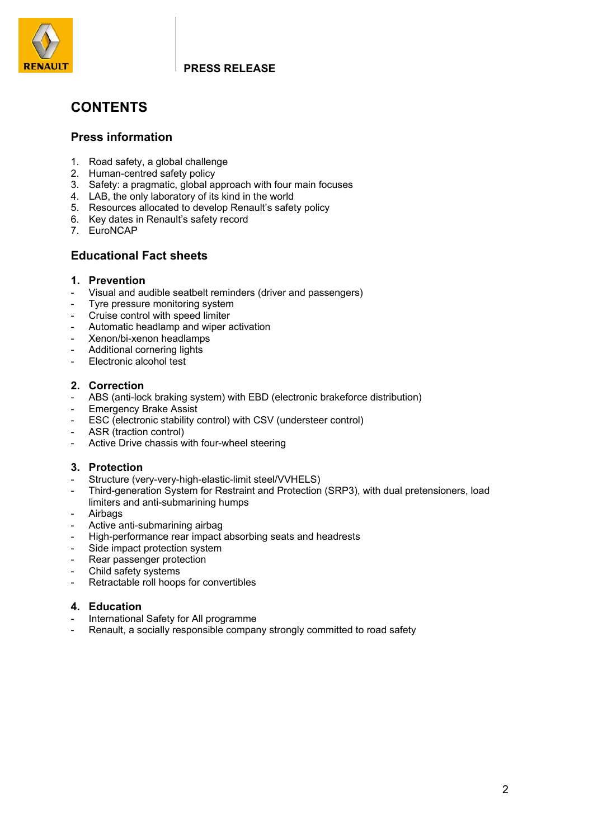

# **CONTENTS**

## **Press information**

- 1. Road safety, a global challenge
- 2. Human-centred safety policy
- 3. Safety: a pragmatic, global approach with four main focuses
- 4. LAB, the only laboratory of its kind in the world
- 5. Resources allocated to develop Renault's safety policy
- 6. Key dates in Renault's safety record
- 7. EuroNCAP

## **Educational Fact sheets**

## **1. Prevention**

- Visual and audible seatbelt reminders (driver and passengers)
- Tyre pressure monitoring system
- Cruise control with speed limiter
- Automatic headlamp and wiper activation
- Xenon/bi-xenon headlamps
- Additional cornering lights
- Electronic alcohol test

### **2. Correction**

- ABS (anti-lock braking system) with EBD (electronic brakeforce distribution)
- **Emergency Brake Assist**
- ESC (electronic stability control) with CSV (understeer control)
- ASR (traction control)
- Active Drive chassis with four-wheel steering

### **3. Protection**

- Structure (very-very-high-elastic-limit steel/VVHELS)
- Third-generation System for Restraint and Protection (SRP3), with dual pretensioners, load limiters and anti-submarining humps
- **Airbags**
- Active anti-submarining airbag
- High-performance rear impact absorbing seats and headrests
- Side impact protection system
- Rear passenger protection
- Child safety systems
- Retractable roll hoops for convertibles

### **4. Education**

- International Safety for All programme
- Renault, a socially responsible company strongly committed to road safety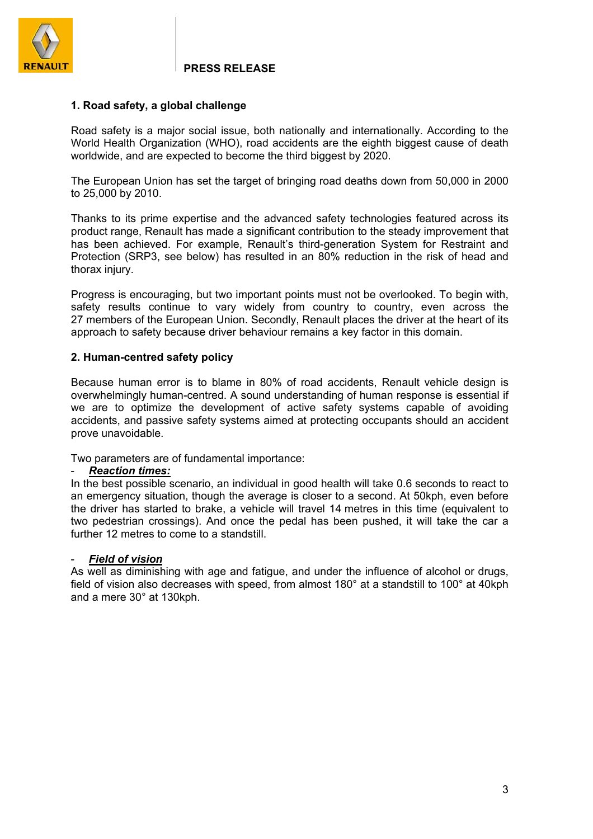

### **1. Road safety, a global challenge**

Road safety is a major social issue, both nationally and internationally. According to the World Health Organization (WHO), road accidents are the eighth biggest cause of death worldwide, and are expected to become the third biggest by 2020.

The European Union has set the target of bringing road deaths down from 50,000 in 2000 to 25,000 by 2010.

Thanks to its prime expertise and the advanced safety technologies featured across its product range, Renault has made a significant contribution to the steady improvement that has been achieved. For example, Renault's third-generation System for Restraint and Protection (SRP3, see below) has resulted in an 80% reduction in the risk of head and thorax injury.

Progress is encouraging, but two important points must not be overlooked. To begin with, safety results continue to vary widely from country to country, even across the 27 members of the European Union. Secondly, Renault places the driver at the heart of its approach to safety because driver behaviour remains a key factor in this domain.

### **2. Human-centred safety policy**

Because human error is to blame in 80% of road accidents, Renault vehicle design is overwhelmingly human-centred. A sound understanding of human response is essential if we are to optimize the development of active safety systems capable of avoiding accidents, and passive safety systems aimed at protecting occupants should an accident prove unavoidable.

Two parameters are of fundamental importance:

### - *Reaction times:*

In the best possible scenario, an individual in good health will take 0.6 seconds to react to an emergency situation, though the average is closer to a second. At 50kph, even before the driver has started to brake, a vehicle will travel 14 metres in this time (equivalent to two pedestrian crossings). And once the pedal has been pushed, it will take the car a further 12 metres to come to a standstill.

### **Field of vision**

As well as diminishing with age and fatigue, and under the influence of alcohol or drugs, field of vision also decreases with speed, from almost 180° at a standstill to 100° at 40kph and a mere 30° at 130kph.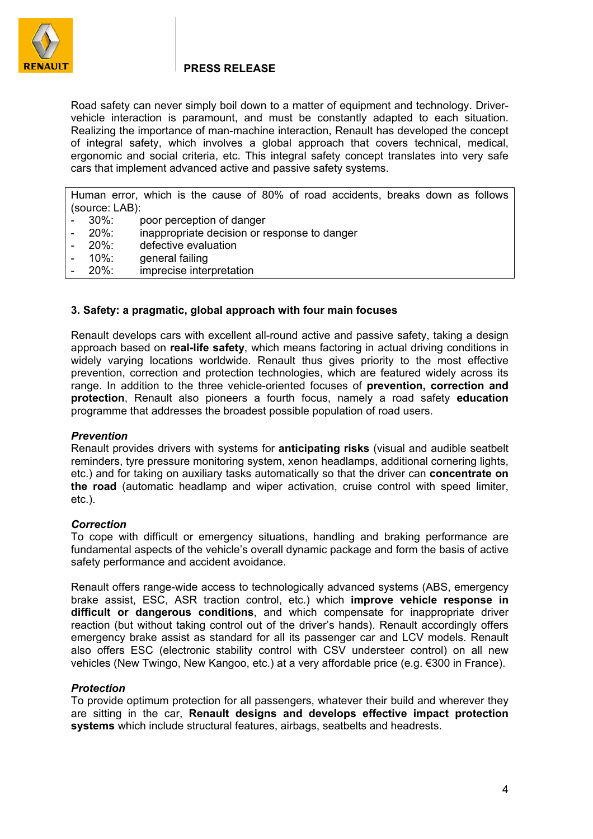

Road safety can never simply boil down to a matter of equipment and technology. Drivervehicle interaction is paramount, and must be constantly adapted to each situation. Realizing the importance of man-machine interaction, Renault has developed the concept of integral safety, which involves a global approach that covers technical, medical, ergonomic and social criteria, etc. This integral safety concept translates into very safe cars that implement advanced active and passive safety systems.

Human error, which is the cause of 80% of road accidents, breaks down as follows (source: LAB):

- 30%: poor perception of danger
- 20%: inappropriate decision or response to danger
- 20%: defective evaluation
- 10%: general failing
- 20%: imprecise interpretation

### **3. Safety: a pragmatic, global approach with four main focuses**

Renault develops cars with excellent all-round active and passive safety, taking a design approach based on **real-life safety**, which means factoring in actual driving conditions in widely varying locations worldwide. Renault thus gives priority to the most effective prevention, correction and protection technologies, which are featured widely across its range. In addition to the three vehicle-oriented focuses of **prevention, correction and protection**, Renault also pioneers a fourth focus, namely a road safety **education**  programme that addresses the broadest possible population of road users.

### *Prevention*

Renault provides drivers with systems for **anticipating risks** (visual and audible seatbelt reminders, tyre pressure monitoring system, xenon headlamps, additional cornering lights, etc.) and for taking on auxiliary tasks automatically so that the driver can **concentrate on the road** (automatic headlamp and wiper activation, cruise control with speed limiter, etc.).

### *Correction*

To cope with difficult or emergency situations, handling and braking performance are fundamental aspects of the vehicle's overall dynamic package and form the basis of active safety performance and accident avoidance.

Renault offers range-wide access to technologically advanced systems (ABS, emergency brake assist, ESC, ASR traction control, etc.) which **improve vehicle response in difficult or dangerous conditions**, and which compensate for inappropriate driver reaction (but without taking control out of the driver's hands). Renault accordingly offers emergency brake assist as standard for all its passenger car and LCV models. Renault also offers ESC (electronic stability control with CSV understeer control) on all new vehicles (New Twingo, New Kangoo, etc.) at a very affordable price (e.g. €300 in France).

### *Protection*

To provide optimum protection for all passengers, whatever their build and wherever they are sitting in the car, **Renault designs and develops effective impact protection systems** which include structural features, airbags, seatbelts and headrests.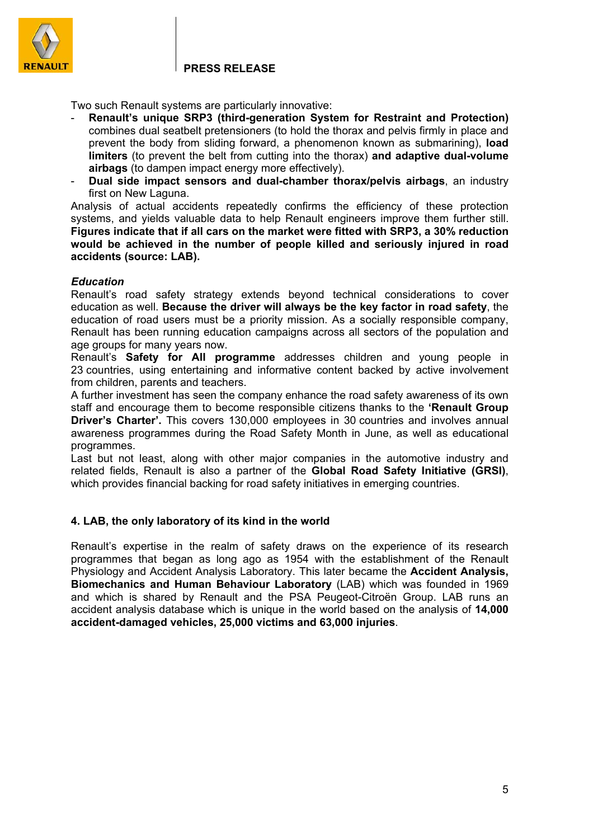

Two such Renault systems are particularly innovative:

- **Renault's unique SRP3 (third-generation System for Restraint and Protection)**  combines dual seatbelt pretensioners (to hold the thorax and pelvis firmly in place and prevent the body from sliding forward, a phenomenon known as submarining), **load limiters** (to prevent the belt from cutting into the thorax) **and adaptive dual-volume airbags** (to dampen impact energy more effectively).
- **Dual side impact sensors and dual-chamber thorax/pelvis airbags**, an industry first on New Laguna.

Analysis of actual accidents repeatedly confirms the efficiency of these protection systems, and yields valuable data to help Renault engineers improve them further still. **Figures indicate that if all cars on the market were fitted with SRP3, a 30% reduction would be achieved in the number of people killed and seriously injured in road accidents (source: LAB).**

### *Education*

Renault's road safety strategy extends beyond technical considerations to cover education as well. **Because the driver will always be the key factor in road safety**, the education of road users must be a priority mission. As a socially responsible company, Renault has been running education campaigns across all sectors of the population and age groups for many years now.

Renault's **Safety for All programme** addresses children and young people in 23 countries, using entertaining and informative content backed by active involvement from children, parents and teachers.

A further investment has seen the company enhance the road safety awareness of its own staff and encourage them to become responsible citizens thanks to the **'Renault Group Driver's Charter'.** This covers 130,000 employees in 30 countries and involves annual awareness programmes during the Road Safety Month in June, as well as educational programmes.

Last but not least, along with other major companies in the automotive industry and related fields, Renault is also a partner of the **Global Road Safety Initiative (GRSI)**, which provides financial backing for road safety initiatives in emerging countries.

### **4. LAB, the only laboratory of its kind in the world**

Renault's expertise in the realm of safety draws on the experience of its research programmes that began as long ago as 1954 with the establishment of the Renault Physiology and Accident Analysis Laboratory. This later became the **Accident Analysis, Biomechanics and Human Behaviour Laboratory** (LAB) which was founded in 1969 and which is shared by Renault and the PSA Peugeot-Citroën Group. LAB runs an accident analysis database which is unique in the world based on the analysis of **14,000 accident-damaged vehicles, 25,000 victims and 63,000 injuries**.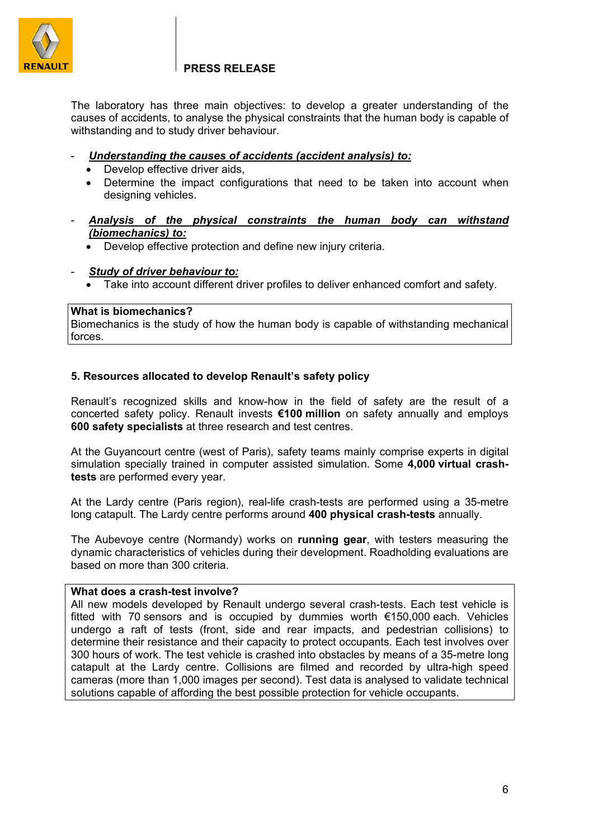

The laboratory has three main objectives: to develop a greater understanding of the causes of accidents, to analyse the physical constraints that the human body is capable of withstanding and to study driver behaviour.

- *Understanding the causes of accidents (accident analysis) to:*
	- Develop effective driver aids,
	- Determine the impact configurations that need to be taken into account when designing vehicles.
- *Analysis of the physical constraints the human body can withstand (biomechanics) to:*
	- Develop effective protection and define new injury criteria.
- *Study of driver behaviour to:*
	- Take into account different driver profiles to deliver enhanced comfort and safety.

### **What is biomechanics?**

Biomechanics is the study of how the human body is capable of withstanding mechanical forces.

## **5. Resources allocated to develop Renault's safety policy**

Renault's recognized skills and know-how in the field of safety are the result of a concerted safety policy. Renault invests **€100 million** on safety annually and employs **600 safety specialists** at three research and test centres.

At the Guyancourt centre (west of Paris), safety teams mainly comprise experts in digital simulation specially trained in computer assisted simulation. Some **4,000 virtual crashtests** are performed every year.

At the Lardy centre (Paris region), real-life crash-tests are performed using a 35-metre long catapult. The Lardy centre performs around **400 physical crash-tests** annually.

The Aubevoye centre (Normandy) works on **running gear**, with testers measuring the dynamic characteristics of vehicles during their development. Roadholding evaluations are based on more than 300 criteria.

### **What does a crash-test involve?**

All new models developed by Renault undergo several crash-tests. Each test vehicle is fitted with 70 sensors and is occupied by dummies worth €150,000 each. Vehicles undergo a raft of tests (front, side and rear impacts, and pedestrian collisions) to determine their resistance and their capacity to protect occupants. Each test involves over 300 hours of work. The test vehicle is crashed into obstacles by means of a 35-metre long catapult at the Lardy centre. Collisions are filmed and recorded by ultra-high speed cameras (more than 1,000 images per second). Test data is analysed to validate technical solutions capable of affording the best possible protection for vehicle occupants.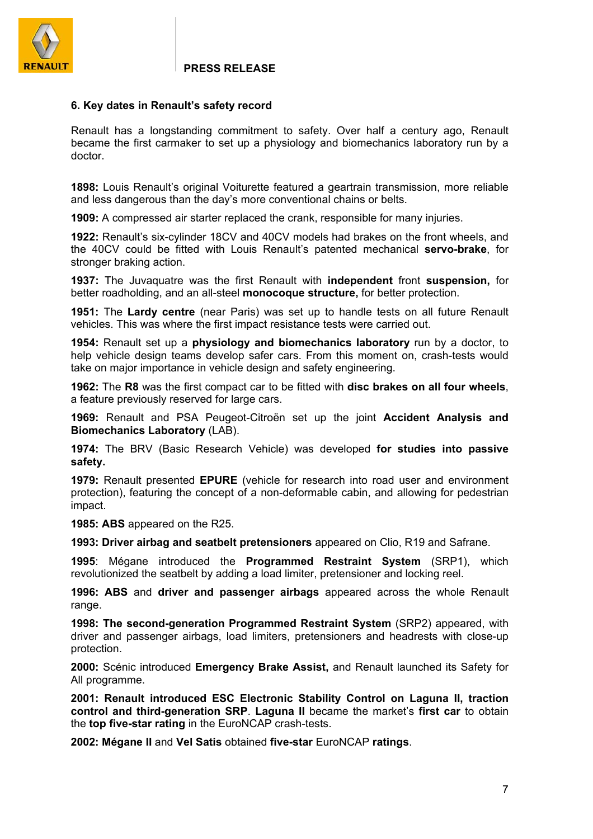

### **6. Key dates in Renault's safety record**

Renault has a longstanding commitment to safety. Over half a century ago, Renault became the first carmaker to set up a physiology and biomechanics laboratory run by a doctor.

**1898:** Louis Renault's original Voiturette featured a geartrain transmission, more reliable and less dangerous than the day's more conventional chains or belts.

**1909:** A compressed air starter replaced the crank, responsible for many injuries.

**1922:** Renault's six-cylinder 18CV and 40CV models had brakes on the front wheels, and the 40CV could be fitted with Louis Renault's patented mechanical **servo-brake**, for stronger braking action.

**1937:** The Juvaquatre was the first Renault with **independent** front **suspension,** for better roadholding, and an all-steel **monocoque structure,** for better protection.

**1951:** The **Lardy centre** (near Paris) was set up to handle tests on all future Renault vehicles. This was where the first impact resistance tests were carried out.

**1954:** Renault set up a **physiology and biomechanics laboratory** run by a doctor, to help vehicle design teams develop safer cars. From this moment on, crash-tests would take on major importance in vehicle design and safety engineering.

**1962:** The **R8** was the first compact car to be fitted with **disc brakes on all four wheels**, a feature previously reserved for large cars.

**1969:** Renault and PSA Peugeot-Citroën set up the joint **Accident Analysis and Biomechanics Laboratory** (LAB).

**1974:** The BRV (Basic Research Vehicle) was developed **for studies into passive safety.** 

**1979:** Renault presented **EPURE** (vehicle for research into road user and environment protection), featuring the concept of a non-deformable cabin, and allowing for pedestrian impact.

**1985: ABS** appeared on the R25.

**1993: Driver airbag and seatbelt pretensioners** appeared on Clio, R19 and Safrane.

**1995**: Mégane introduced the **Programmed Restraint System** (SRP1), which revolutionized the seatbelt by adding a load limiter, pretensioner and locking reel.

**1996: ABS** and **driver and passenger airbags** appeared across the whole Renault range.

**1998: The second-generation Programmed Restraint System** (SRP2) appeared, with driver and passenger airbags, load limiters, pretensioners and headrests with close-up protection.

**2000:** Scénic introduced **Emergency Brake Assist,** and Renault launched its Safety for All programme.

**2001: Renault introduced ESC Electronic Stability Control on Laguna II, traction control and third-generation SRP**. **Laguna II** became the market's **first car** to obtain the **top five-star rating** in the EuroNCAP crash-tests.

**2002: Mégane II** and **Vel Satis** obtained **five-star** EuroNCAP **ratings**.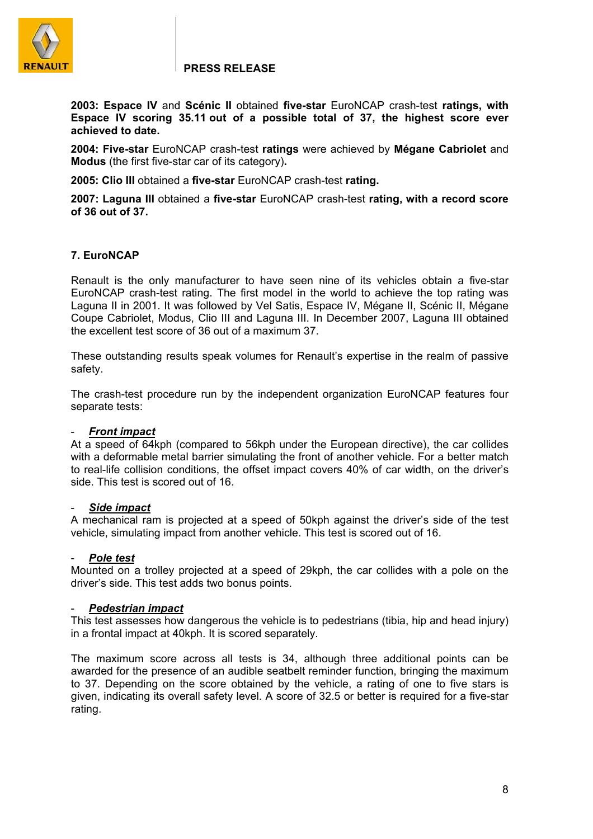

**2003: Espace IV** and **Scénic II** obtained **five-star** EuroNCAP crash-test **ratings, with Espace IV scoring 35.11 out of a possible total of 37, the highest score ever achieved to date.**

**2004: Five-star** EuroNCAP crash-test **ratings** were achieved by **Mégane Cabriolet** and **Modus** (the first five-star car of its category)**.** 

**2005: Clio III** obtained a **five-star** EuroNCAP crash-test **rating.** 

**2007: Laguna III** obtained a **five-star** EuroNCAP crash-test **rating, with a record score of 36 out of 37.** 

### **7. EuroNCAP**

Renault is the only manufacturer to have seen nine of its vehicles obtain a five-star EuroNCAP crash-test rating. The first model in the world to achieve the top rating was Laguna II in 2001. It was followed by Vel Satis, Espace IV, Mégane II, Scénic II, Mégane Coupe Cabriolet, Modus, Clio III and Laguna III. In December 2007, Laguna III obtained the excellent test score of 36 out of a maximum 37.

These outstanding results speak volumes for Renault's expertise in the realm of passive safety.

The crash-test procedure run by the independent organization EuroNCAP features four separate tests:

### - *Front impact*

At a speed of 64kph (compared to 56kph under the European directive), the car collides with a deformable metal barrier simulating the front of another vehicle. For a better match to real-life collision conditions, the offset impact covers 40% of car width, on the driver's side. This test is scored out of 16.

### - *Side impact*

A mechanical ram is projected at a speed of 50kph against the driver's side of the test vehicle, simulating impact from another vehicle. This test is scored out of 16.

### - *Pole test*

Mounted on a trolley projected at a speed of 29kph, the car collides with a pole on the driver's side. This test adds two bonus points.

### - *Pedestrian impact*

This test assesses how dangerous the vehicle is to pedestrians (tibia, hip and head injury) in a frontal impact at 40kph. It is scored separately.

The maximum score across all tests is 34, although three additional points can be awarded for the presence of an audible seatbelt reminder function, bringing the maximum to 37. Depending on the score obtained by the vehicle, a rating of one to five stars is given, indicating its overall safety level. A score of 32.5 or better is required for a five-star rating.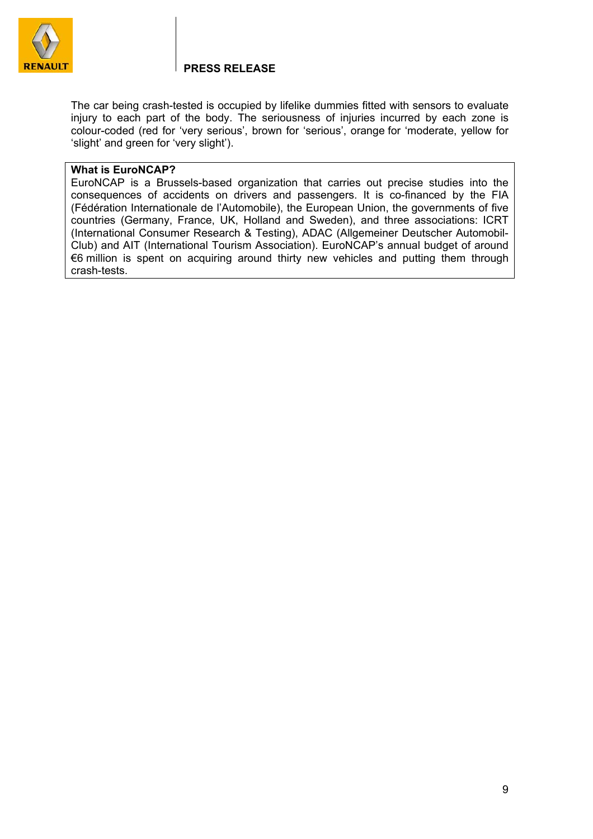

The car being crash-tested is occupied by lifelike dummies fitted with sensors to evaluate injury to each part of the body. The seriousness of injuries incurred by each zone is colour-coded (red for 'very serious', brown for 'serious', orange for 'moderate, yellow for 'slight' and green for 'very slight').

### **What is EuroNCAP?**

EuroNCAP is a Brussels-based organization that carries out precise studies into the consequences of accidents on drivers and passengers. It is co-financed by the FIA (Fédération Internationale de l'Automobile), the European Union, the governments of five countries (Germany, France, UK, Holland and Sweden), and three associations: ICRT (International Consumer Research & Testing), ADAC (Allgemeiner Deutscher Automobil-Club) and AIT (International Tourism Association). EuroNCAP's annual budget of around €6 million is spent on acquiring around thirty new vehicles and putting them through crash-tests.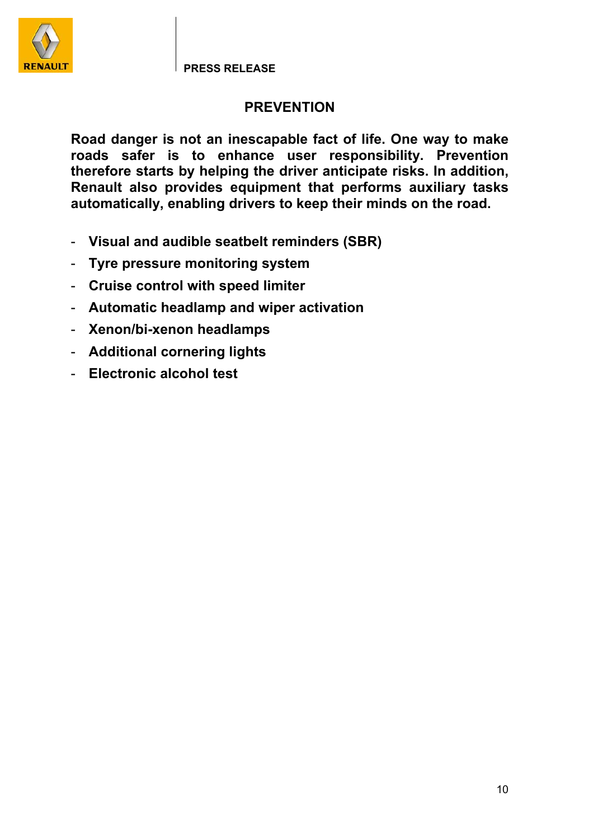

# **PREVENTION**

**Road danger is not an inescapable fact of life. One way to make roads safer is to enhance user responsibility. Prevention therefore starts by helping the driver anticipate risks. In addition, Renault also provides equipment that performs auxiliary tasks automatically, enabling drivers to keep their minds on the road.** 

- **Visual and audible seatbelt reminders (SBR)**
- **Tyre pressure monitoring system**
- **Cruise control with speed limiter**
- **Automatic headlamp and wiper activation**
- **Xenon/bi-xenon headlamps**
- **Additional cornering lights**
- **Electronic alcohol test**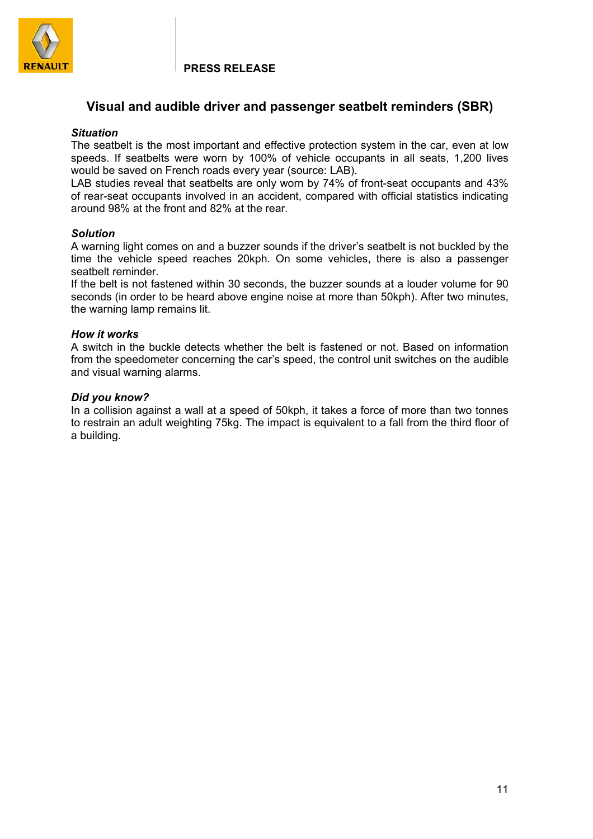

## **Visual and audible driver and passenger seatbelt reminders (SBR)**

### *Situation*

The seatbelt is the most important and effective protection system in the car, even at low speeds. If seatbelts were worn by 100% of vehicle occupants in all seats, 1,200 lives would be saved on French roads every year (source: LAB).

LAB studies reveal that seatbelts are only worn by 74% of front-seat occupants and 43% of rear-seat occupants involved in an accident, compared with official statistics indicating around 98% at the front and 82% at the rear.

### *Solution*

A warning light comes on and a buzzer sounds if the driver's seatbelt is not buckled by the time the vehicle speed reaches 20kph. On some vehicles, there is also a passenger seatbelt reminder.

If the belt is not fastened within 30 seconds, the buzzer sounds at a louder volume for 90 seconds (in order to be heard above engine noise at more than 50kph). After two minutes, the warning lamp remains lit.

### *How it works*

A switch in the buckle detects whether the belt is fastened or not. Based on information from the speedometer concerning the car's speed, the control unit switches on the audible and visual warning alarms.

### *Did you know?*

In a collision against a wall at a speed of 50kph, it takes a force of more than two tonnes to restrain an adult weighting 75kg. The impact is equivalent to a fall from the third floor of a building.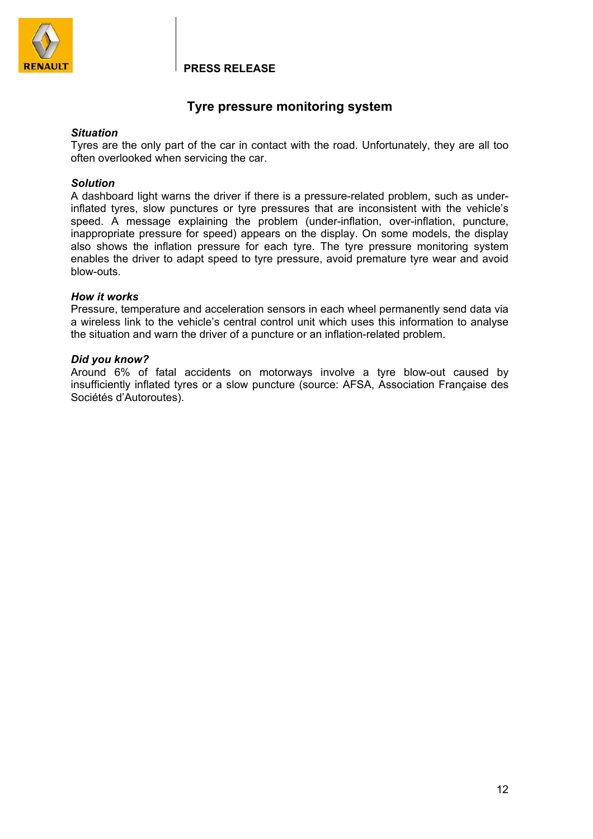

# **Tyre pressure monitoring system**

### *Situation*

Tyres are the only part of the car in contact with the road. Unfortunately, they are all too often overlooked when servicing the car.

### *Solution*

A dashboard light warns the driver if there is a pressure-related problem, such as underinflated tyres, slow punctures or tyre pressures that are inconsistent with the vehicle's speed. A message explaining the problem (under-inflation, over-inflation, puncture, inappropriate pressure for speed) appears on the display. On some models, the display also shows the inflation pressure for each tyre. The tyre pressure monitoring system enables the driver to adapt speed to tyre pressure, avoid premature tyre wear and avoid blow-outs.

### *How it works*

Pressure, temperature and acceleration sensors in each wheel permanently send data via a wireless link to the vehicle's central control unit which uses this information to analyse the situation and warn the driver of a puncture or an inflation-related problem.

### *Did you know?*

Around 6% of fatal accidents on motorways involve a tyre blow-out caused by insufficiently inflated tyres or a slow puncture (source: AFSA, Association Française des Sociétés d'Autoroutes).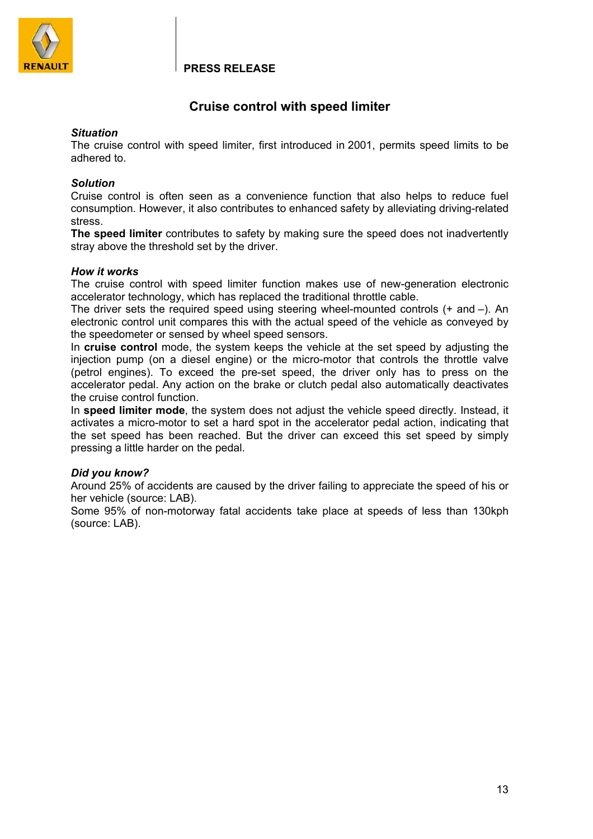

# **Cruise control with speed limiter**

### *Situation*

The cruise control with speed limiter, first introduced in 2001, permits speed limits to be adhered to.

### *Solution*

Cruise control is often seen as a convenience function that also helps to reduce fuel consumption. However, it also contributes to enhanced safety by alleviating driving-related stress.

**The speed limiter** contributes to safety by making sure the speed does not inadvertently stray above the threshold set by the driver.

### *How it works*

The cruise control with speed limiter function makes use of new-generation electronic accelerator technology, which has replaced the traditional throttle cable.

The driver sets the required speed using steering wheel-mounted controls (+ and –). An electronic control unit compares this with the actual speed of the vehicle as conveyed by the speedometer or sensed by wheel speed sensors.

In **cruise control** mode, the system keeps the vehicle at the set speed by adjusting the injection pump (on a diesel engine) or the micro-motor that controls the throttle valve (petrol engines). To exceed the pre-set speed, the driver only has to press on the accelerator pedal. Any action on the brake or clutch pedal also automatically deactivates the cruise control function.

In **speed limiter mode**, the system does not adjust the vehicle speed directly. Instead, it activates a micro-motor to set a hard spot in the accelerator pedal action, indicating that the set speed has been reached. But the driver can exceed this set speed by simply pressing a little harder on the pedal.

### *Did you know?*

Around 25% of accidents are caused by the driver failing to appreciate the speed of his or her vehicle (source: LAB).

Some 95% of non-motorway fatal accidents take place at speeds of less than 130kph (source: LAB).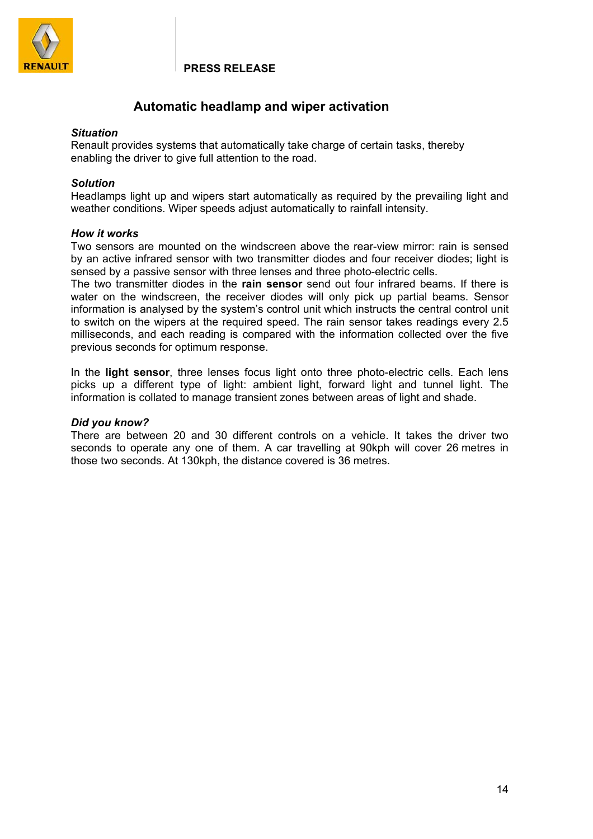

## **Automatic headlamp and wiper activation**

### *Situation*

Renault provides systems that automatically take charge of certain tasks, thereby enabling the driver to give full attention to the road.

### *Solution*

Headlamps light up and wipers start automatically as required by the prevailing light and weather conditions. Wiper speeds adjust automatically to rainfall intensity.

### *How it works*

Two sensors are mounted on the windscreen above the rear-view mirror: rain is sensed by an active infrared sensor with two transmitter diodes and four receiver diodes; light is sensed by a passive sensor with three lenses and three photo-electric cells.

The two transmitter diodes in the **rain sensor** send out four infrared beams. If there is water on the windscreen, the receiver diodes will only pick up partial beams. Sensor information is analysed by the system's control unit which instructs the central control unit to switch on the wipers at the required speed. The rain sensor takes readings every 2.5 milliseconds, and each reading is compared with the information collected over the five previous seconds for optimum response.

In the **light sensor**, three lenses focus light onto three photo-electric cells. Each lens picks up a different type of light: ambient light, forward light and tunnel light. The information is collated to manage transient zones between areas of light and shade.

### *Did you know?*

There are between 20 and 30 different controls on a vehicle. It takes the driver two seconds to operate any one of them. A car travelling at 90kph will cover 26 metres in those two seconds. At 130kph, the distance covered is 36 metres.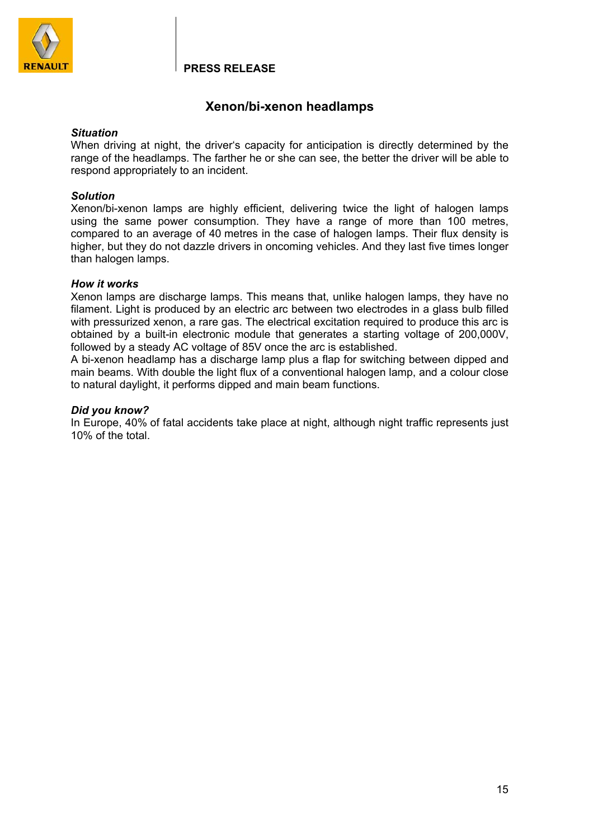

# **Xenon/bi-xenon headlamps**

### *Situation*

When driving at night, the driver's capacity for anticipation is directly determined by the range of the headlamps. The farther he or she can see, the better the driver will be able to respond appropriately to an incident.

### *Solution*

Xenon/bi-xenon lamps are highly efficient, delivering twice the light of halogen lamps using the same power consumption. They have a range of more than 100 metres, compared to an average of 40 metres in the case of halogen lamps. Their flux density is higher, but they do not dazzle drivers in oncoming vehicles. And they last five times longer than halogen lamps.

### *How it works*

Xenon lamps are discharge lamps. This means that, unlike halogen lamps, they have no filament. Light is produced by an electric arc between two electrodes in a glass bulb filled with pressurized xenon, a rare gas. The electrical excitation required to produce this arc is obtained by a built-in electronic module that generates a starting voltage of 200,000V, followed by a steady AC voltage of 85V once the arc is established.

A bi-xenon headlamp has a discharge lamp plus a flap for switching between dipped and main beams. With double the light flux of a conventional halogen lamp, and a colour close to natural daylight, it performs dipped and main beam functions.

## *Did you know?*

In Europe, 40% of fatal accidents take place at night, although night traffic represents just 10% of the total.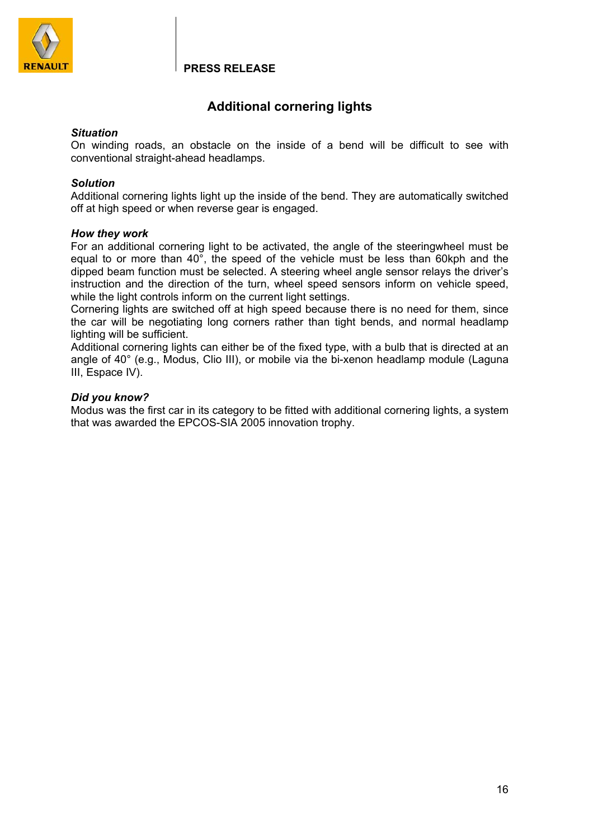

# **Additional cornering lights**

### *Situation*

On winding roads, an obstacle on the inside of a bend will be difficult to see with conventional straight-ahead headlamps.

### *Solution*

Additional cornering lights light up the inside of the bend. They are automatically switched off at high speed or when reverse gear is engaged.

### *How they work*

For an additional cornering light to be activated, the angle of the steeringwheel must be equal to or more than 40°, the speed of the vehicle must be less than 60kph and the dipped beam function must be selected. A steering wheel angle sensor relays the driver's instruction and the direction of the turn, wheel speed sensors inform on vehicle speed, while the light controls inform on the current light settings.

Cornering lights are switched off at high speed because there is no need for them, since the car will be negotiating long corners rather than tight bends, and normal headlamp lighting will be sufficient.

Additional cornering lights can either be of the fixed type, with a bulb that is directed at an angle of 40° (e.g., Modus, Clio III), or mobile via the bi-xenon headlamp module (Laguna III, Espace IV).

### *Did you know?*

Modus was the first car in its category to be fitted with additional cornering lights, a system that was awarded the EPCOS-SIA 2005 innovation trophy.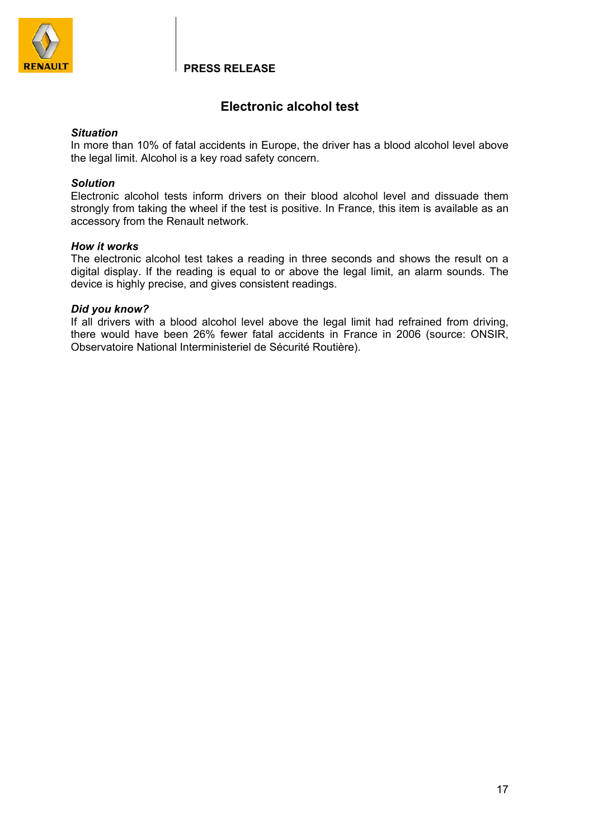

# **Electronic alcohol test**

### *Situation*

In more than 10% of fatal accidents in Europe, the driver has a blood alcohol level above the legal limit. Alcohol is a key road safety concern.

### *Solution*

Electronic alcohol tests inform drivers on their blood alcohol level and dissuade them strongly from taking the wheel if the test is positive. In France, this item is available as an accessory from the Renault network.

### *How it works*

The electronic alcohol test takes a reading in three seconds and shows the result on a digital display. If the reading is equal to or above the legal limit, an alarm sounds. The device is highly precise, and gives consistent readings.

### *Did you know?*

If all drivers with a blood alcohol level above the legal limit had refrained from driving, there would have been 26% fewer fatal accidents in France in 2006 (source: ONSIR, Observatoire National Interministeriel de Sécurité Routière).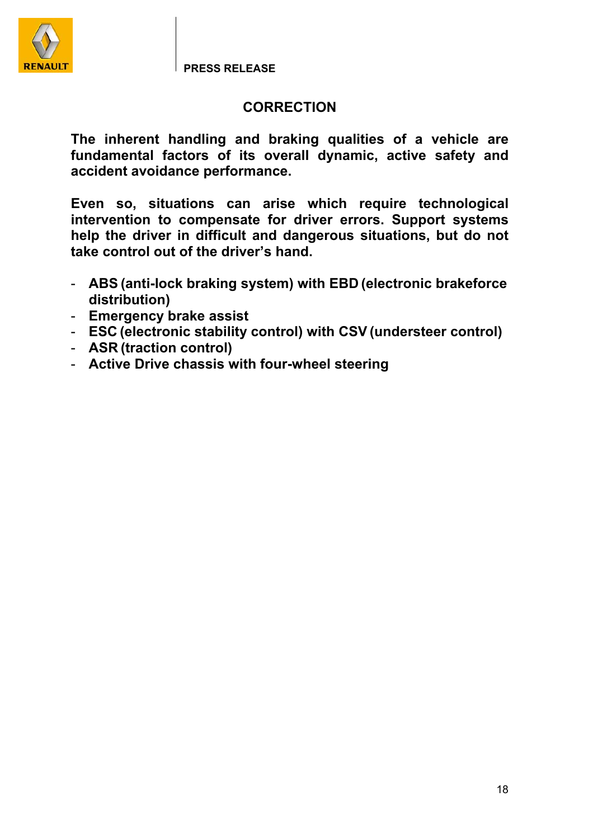

# **CORRECTION**

**The inherent handling and braking qualities of a vehicle are fundamental factors of its overall dynamic, active safety and accident avoidance performance.** 

**Even so, situations can arise which require technological intervention to compensate for driver errors. Support systems help the driver in difficult and dangerous situations, but do not take control out of the driver's hand.** 

- **ABS (anti-lock braking system) with EBD (electronic brakeforce distribution)**
- **Emergency brake assist**
- **ESC (electronic stability control) with CSV (understeer control)**
- **ASR (traction control)**
- **Active Drive chassis with four-wheel steering**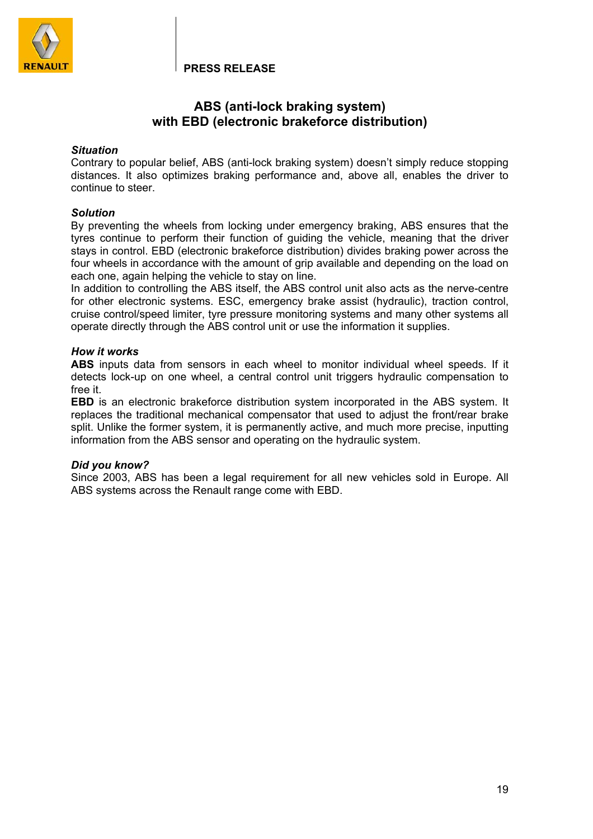

## **ABS (anti-lock braking system) with EBD (electronic brakeforce distribution)**

### *Situation*

Contrary to popular belief, ABS (anti-lock braking system) doesn't simply reduce stopping distances. It also optimizes braking performance and, above all, enables the driver to continue to steer.

### *Solution*

By preventing the wheels from locking under emergency braking, ABS ensures that the tyres continue to perform their function of guiding the vehicle, meaning that the driver stays in control. EBD (electronic brakeforce distribution) divides braking power across the four wheels in accordance with the amount of grip available and depending on the load on each one, again helping the vehicle to stay on line.

In addition to controlling the ABS itself, the ABS control unit also acts as the nerve-centre for other electronic systems. ESC, emergency brake assist (hydraulic), traction control, cruise control/speed limiter, tyre pressure monitoring systems and many other systems all operate directly through the ABS control unit or use the information it supplies.

### *How it works*

**ABS** inputs data from sensors in each wheel to monitor individual wheel speeds. If it detects lock-up on one wheel, a central control unit triggers hydraulic compensation to free it.

**EBD** is an electronic brakeforce distribution system incorporated in the ABS system. It replaces the traditional mechanical compensator that used to adjust the front/rear brake split. Unlike the former system, it is permanently active, and much more precise, inputting information from the ABS sensor and operating on the hydraulic system.

### *Did you know?*

Since 2003, ABS has been a legal requirement for all new vehicles sold in Europe. All ABS systems across the Renault range come with EBD.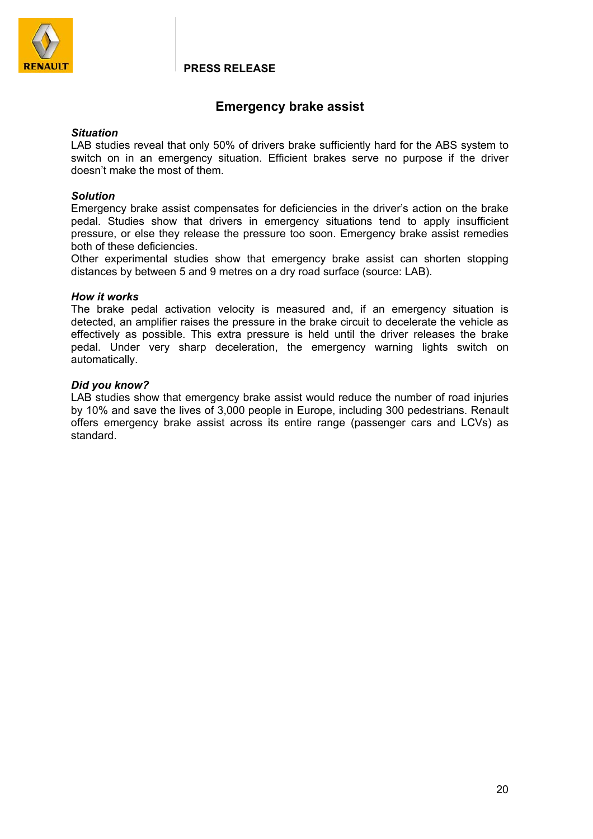

# **Emergency brake assist**

### *Situation*

LAB studies reveal that only 50% of drivers brake sufficiently hard for the ABS system to switch on in an emergency situation. Efficient brakes serve no purpose if the driver doesn't make the most of them.

### *Solution*

Emergency brake assist compensates for deficiencies in the driver's action on the brake pedal. Studies show that drivers in emergency situations tend to apply insufficient pressure, or else they release the pressure too soon. Emergency brake assist remedies both of these deficiencies.

Other experimental studies show that emergency brake assist can shorten stopping distances by between 5 and 9 metres on a dry road surface (source: LAB).

### *How it works*

The brake pedal activation velocity is measured and, if an emergency situation is detected, an amplifier raises the pressure in the brake circuit to decelerate the vehicle as effectively as possible. This extra pressure is held until the driver releases the brake pedal. Under very sharp deceleration, the emergency warning lights switch on automatically.

### *Did you know?*

LAB studies show that emergency brake assist would reduce the number of road injuries by 10% and save the lives of 3,000 people in Europe, including 300 pedestrians. Renault offers emergency brake assist across its entire range (passenger cars and LCVs) as standard.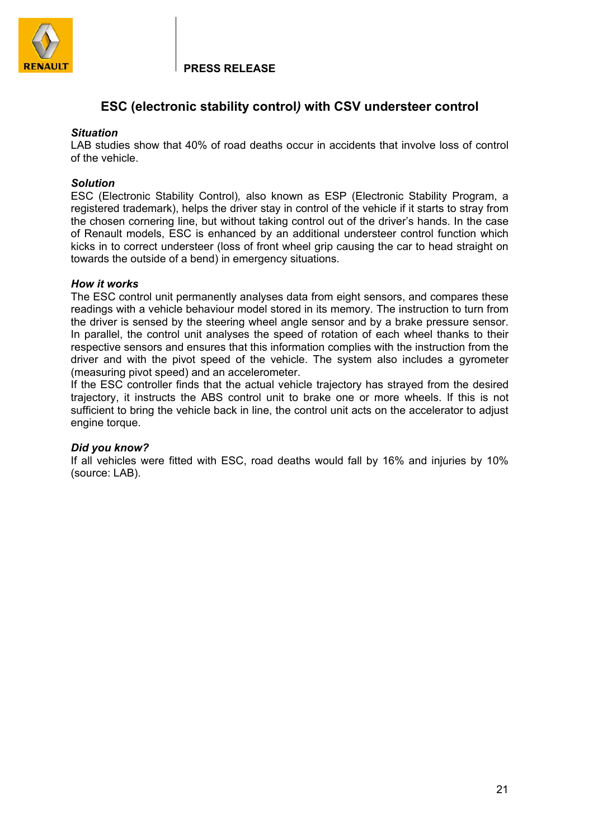

# **ESC (electronic stability control***)* **with CSV understeer control**

### *Situation*

LAB studies show that 40% of road deaths occur in accidents that involve loss of control of the vehicle.

### *Solution*

ESC (Electronic Stability Control)*,* also known as ESP (Electronic Stability Program, a registered trademark), helps the driver stay in control of the vehicle if it starts to stray from the chosen cornering line, but without taking control out of the driver's hands. In the case of Renault models, ESC is enhanced by an additional understeer control function which kicks in to correct understeer (loss of front wheel grip causing the car to head straight on towards the outside of a bend) in emergency situations.

### *How it works*

The ESC control unit permanently analyses data from eight sensors, and compares these readings with a vehicle behaviour model stored in its memory. The instruction to turn from the driver is sensed by the steering wheel angle sensor and by a brake pressure sensor. In parallel, the control unit analyses the speed of rotation of each wheel thanks to their respective sensors and ensures that this information complies with the instruction from the driver and with the pivot speed of the vehicle. The system also includes a gyrometer (measuring pivot speed) and an accelerometer.

If the ESC controller finds that the actual vehicle trajectory has strayed from the desired trajectory, it instructs the ABS control unit to brake one or more wheels. If this is not sufficient to bring the vehicle back in line, the control unit acts on the accelerator to adjust engine torque.

### *Did you know?*

If all vehicles were fitted with ESC, road deaths would fall by 16% and injuries by 10% (source: LAB).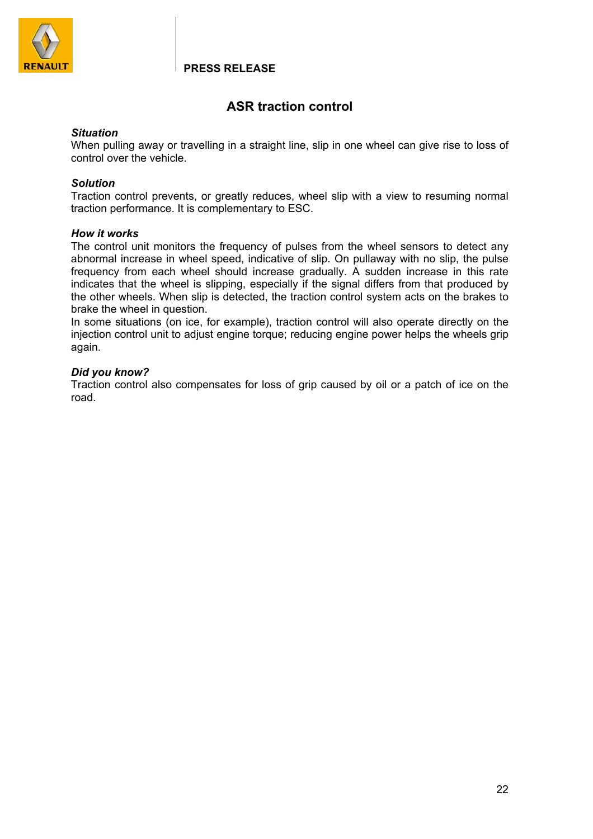

# **ASR traction control**

### *Situation*

When pulling away or travelling in a straight line, slip in one wheel can give rise to loss of control over the vehicle.

### *Solution*

Traction control prevents, or greatly reduces, wheel slip with a view to resuming normal traction performance. It is complementary to ESC.

### *How it works*

The control unit monitors the frequency of pulses from the wheel sensors to detect any abnormal increase in wheel speed, indicative of slip. On pullaway with no slip, the pulse frequency from each wheel should increase gradually. A sudden increase in this rate indicates that the wheel is slipping, especially if the signal differs from that produced by the other wheels. When slip is detected, the traction control system acts on the brakes to brake the wheel in question.

In some situations (on ice, for example), traction control will also operate directly on the injection control unit to adjust engine torque; reducing engine power helps the wheels grip again.

### *Did you know?*

Traction control also compensates for loss of grip caused by oil or a patch of ice on the road.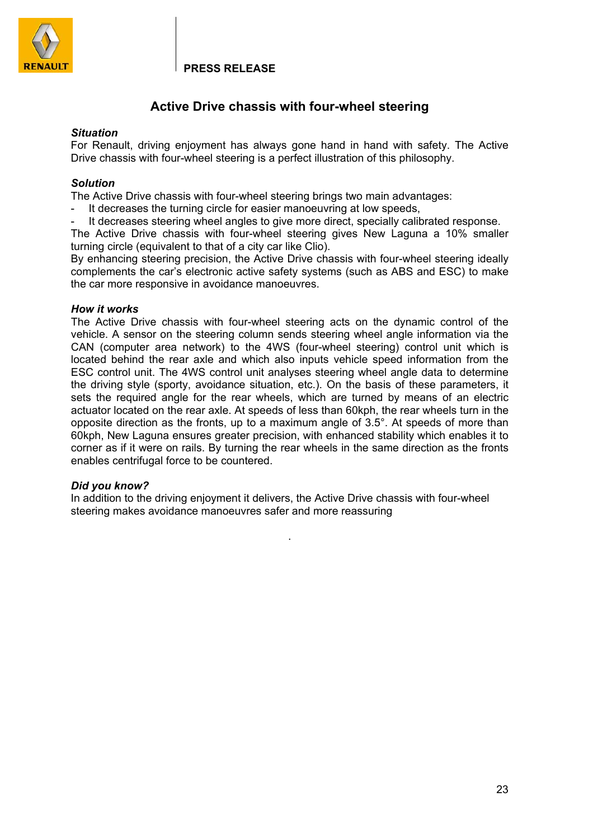

# **Active Drive chassis with four-wheel steering**

### *Situation*

For Renault, driving enjoyment has always gone hand in hand with safety. The Active Drive chassis with four-wheel steering is a perfect illustration of this philosophy.

### *Solution*

The Active Drive chassis with four-wheel steering brings two main advantages:

- It decreases the turning circle for easier manoeuvring at low speeds,
- It decreases steering wheel angles to give more direct, specially calibrated response.

The Active Drive chassis with four-wheel steering gives New Laguna a 10% smaller turning circle (equivalent to that of a city car like Clio).

By enhancing steering precision, the Active Drive chassis with four-wheel steering ideally complements the car's electronic active safety systems (such as ABS and ESC) to make the car more responsive in avoidance manoeuvres.

### *How it works*

The Active Drive chassis with four-wheel steering acts on the dynamic control of the vehicle. A sensor on the steering column sends steering wheel angle information via the CAN (computer area network) to the 4WS (four-wheel steering) control unit which is located behind the rear axle and which also inputs vehicle speed information from the ESC control unit. The 4WS control unit analyses steering wheel angle data to determine the driving style (sporty, avoidance situation, etc.). On the basis of these parameters, it sets the required angle for the rear wheels, which are turned by means of an electric actuator located on the rear axle. At speeds of less than 60kph, the rear wheels turn in the opposite direction as the fronts, up to a maximum angle of 3.5°. At speeds of more than 60kph, New Laguna ensures greater precision, with enhanced stability which enables it to corner as if it were on rails. By turning the rear wheels in the same direction as the fronts enables centrifugal force to be countered.

### *Did you know?*

In addition to the driving enjoyment it delivers, the Active Drive chassis with four-wheel steering makes avoidance manoeuvres safer and more reassuring

.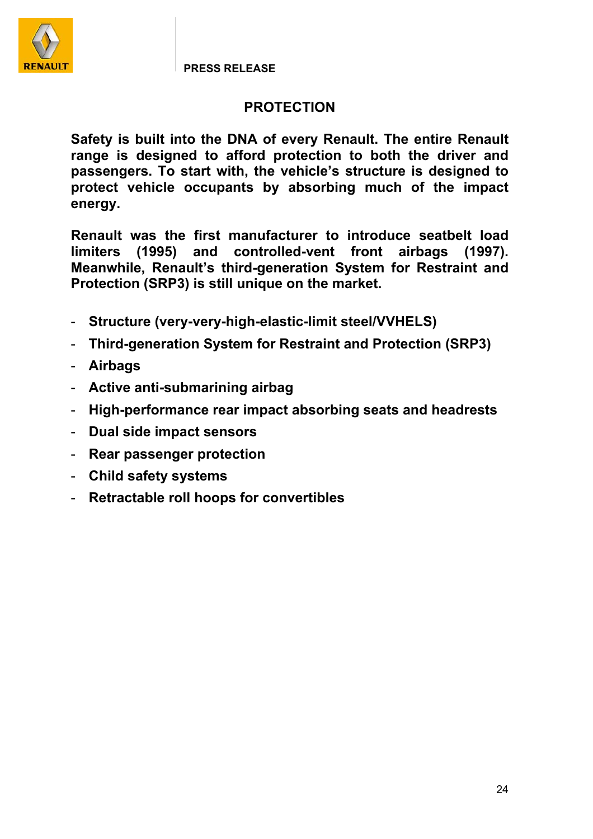

# **PROTECTION**

**Safety is built into the DNA of every Renault. The entire Renault range is designed to afford protection to both the driver and passengers. To start with, the vehicle's structure is designed to protect vehicle occupants by absorbing much of the impact energy.** 

**Renault was the first manufacturer to introduce seatbelt load limiters (1995) and controlled-vent front airbags (1997). Meanwhile, Renault's third-generation System for Restraint and Protection (SRP3) is still unique on the market.** 

- **Structure (very-very-high-elastic-limit steel/VVHELS)**
- **Third-generation System for Restraint and Protection (SRP3)**
- **Airbags**
- **Active anti-submarining airbag**
- **High-performance rear impact absorbing seats and headrests**
- **Dual side impact sensors**
- **Rear passenger protection**
- **Child safety systems**
- **Retractable roll hoops for convertibles**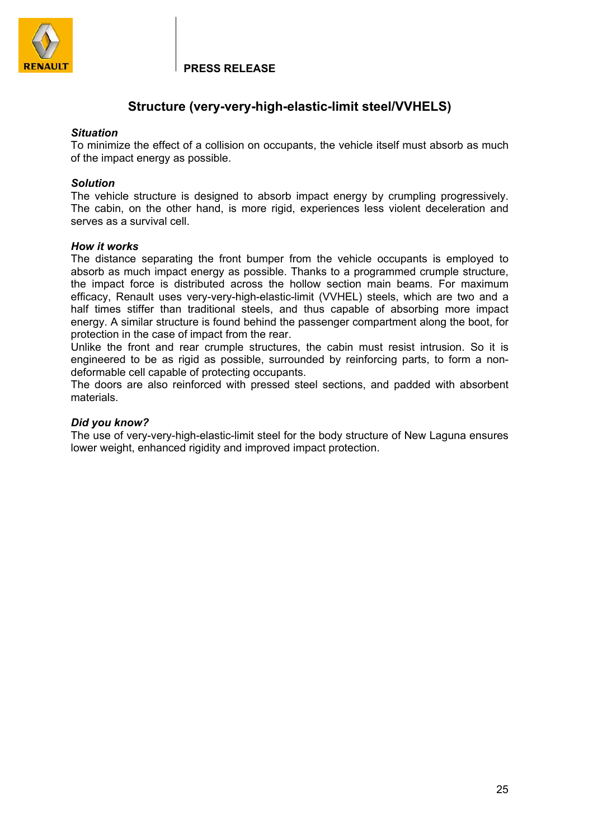

# **Structure (very-very-high-elastic-limit steel/VVHELS)**

### *Situation*

To minimize the effect of a collision on occupants, the vehicle itself must absorb as much of the impact energy as possible.

### *Solution*

The vehicle structure is designed to absorb impact energy by crumpling progressively. The cabin, on the other hand, is more rigid, experiences less violent deceleration and serves as a survival cell.

### *How it works*

The distance separating the front bumper from the vehicle occupants is employed to absorb as much impact energy as possible. Thanks to a programmed crumple structure, the impact force is distributed across the hollow section main beams. For maximum efficacy, Renault uses very-very-high-elastic-limit (VVHEL) steels, which are two and a half times stiffer than traditional steels, and thus capable of absorbing more impact energy. A similar structure is found behind the passenger compartment along the boot, for protection in the case of impact from the rear.

Unlike the front and rear crumple structures, the cabin must resist intrusion. So it is engineered to be as rigid as possible, surrounded by reinforcing parts, to form a nondeformable cell capable of protecting occupants.

The doors are also reinforced with pressed steel sections, and padded with absorbent materials.

### *Did you know?*

The use of very-very-high-elastic-limit steel for the body structure of New Laguna ensures lower weight, enhanced rigidity and improved impact protection.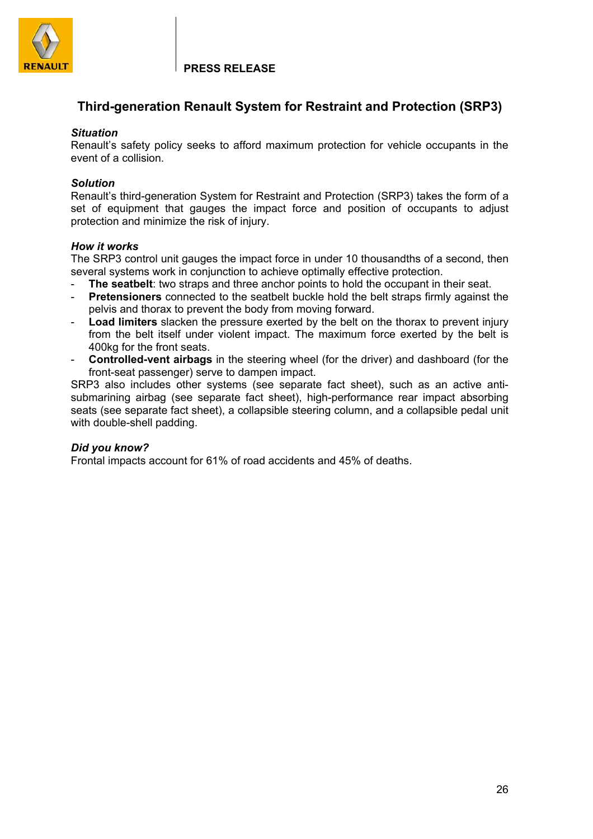

# **Third-generation Renault System for Restraint and Protection (SRP3)**

### *Situation*

Renault's safety policy seeks to afford maximum protection for vehicle occupants in the event of a collision.

## *Solution*

Renault's third-generation System for Restraint and Protection (SRP3) takes the form of a set of equipment that gauges the impact force and position of occupants to adjust protection and minimize the risk of injury.

## *How it works*

The SRP3 control unit gauges the impact force in under 10 thousandths of a second, then several systems work in conjunction to achieve optimally effective protection.

- The seatbelt: two straps and three anchor points to hold the occupant in their seat.
- **Pretensioners** connected to the seatbelt buckle hold the belt straps firmly against the pelvis and thorax to prevent the body from moving forward.
- Load limiters slacken the pressure exerted by the belt on the thorax to prevent injury from the belt itself under violent impact. The maximum force exerted by the belt is 400kg for the front seats.
- **Controlled-vent airbags** in the steering wheel (for the driver) and dashboard (for the front-seat passenger) serve to dampen impact.

SRP3 also includes other systems (see separate fact sheet), such as an active antisubmarining airbag (see separate fact sheet), high-performance rear impact absorbing seats (see separate fact sheet), a collapsible steering column, and a collapsible pedal unit with double-shell padding.

## *Did you know?*

Frontal impacts account for 61% of road accidents and 45% of deaths.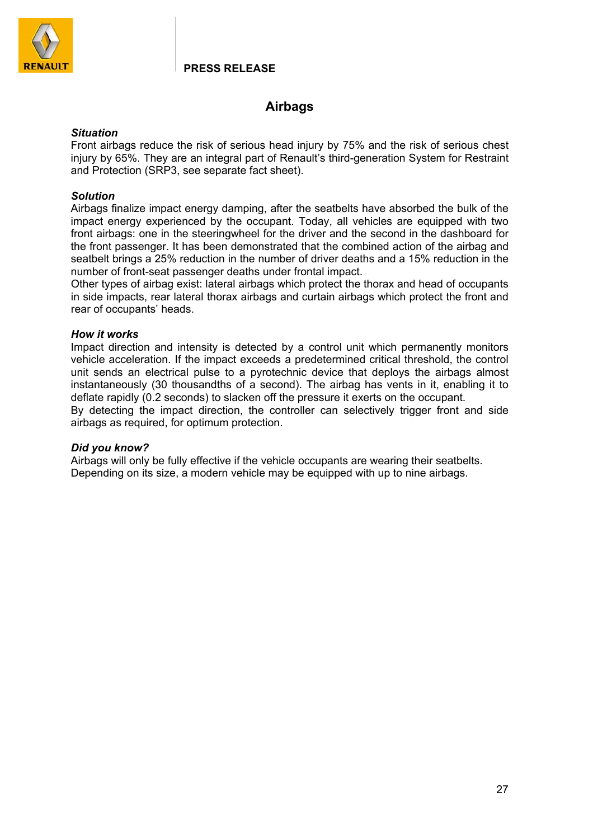

# **Airbags**

### *Situation*

Front airbags reduce the risk of serious head injury by 75% and the risk of serious chest injury by 65%. They are an integral part of Renault's third-generation System for Restraint and Protection (SRP3, see separate fact sheet).

## *Solution*

Airbags finalize impact energy damping, after the seatbelts have absorbed the bulk of the impact energy experienced by the occupant. Today, all vehicles are equipped with two front airbags: one in the steeringwheel for the driver and the second in the dashboard for the front passenger. It has been demonstrated that the combined action of the airbag and seatbelt brings a 25% reduction in the number of driver deaths and a 15% reduction in the number of front-seat passenger deaths under frontal impact.

Other types of airbag exist: lateral airbags which protect the thorax and head of occupants in side impacts, rear lateral thorax airbags and curtain airbags which protect the front and rear of occupants' heads.

## *How it works*

Impact direction and intensity is detected by a control unit which permanently monitors vehicle acceleration. If the impact exceeds a predetermined critical threshold, the control unit sends an electrical pulse to a pyrotechnic device that deploys the airbags almost instantaneously (30 thousandths of a second). The airbag has vents in it, enabling it to deflate rapidly (0.2 seconds) to slacken off the pressure it exerts on the occupant.

By detecting the impact direction, the controller can selectively trigger front and side airbags as required, for optimum protection.

### *Did you know?*

Airbags will only be fully effective if the vehicle occupants are wearing their seatbelts. Depending on its size, a modern vehicle may be equipped with up to nine airbags.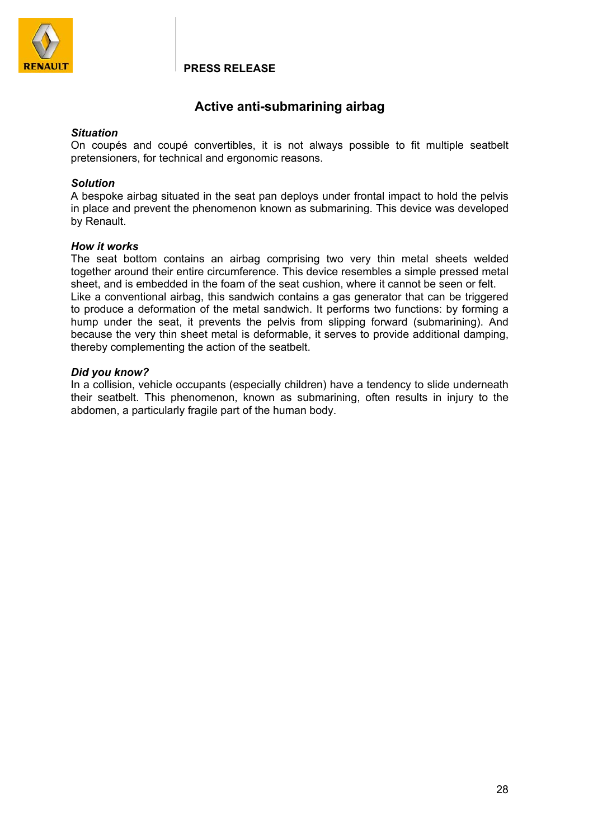

## **Active anti-submarining airbag**

### *Situation*

On coupés and coupé convertibles, it is not always possible to fit multiple seatbelt pretensioners, for technical and ergonomic reasons.

### *Solution*

A bespoke airbag situated in the seat pan deploys under frontal impact to hold the pelvis in place and prevent the phenomenon known as submarining. This device was developed by Renault.

### *How it works*

The seat bottom contains an airbag comprising two very thin metal sheets welded together around their entire circumference. This device resembles a simple pressed metal sheet, and is embedded in the foam of the seat cushion, where it cannot be seen or felt. Like a conventional airbag, this sandwich contains a gas generator that can be triggered to produce a deformation of the metal sandwich. It performs two functions: by forming a hump under the seat, it prevents the pelvis from slipping forward (submarining). And because the very thin sheet metal is deformable, it serves to provide additional damping, thereby complementing the action of the seatbelt.

### *Did you know?*

In a collision, vehicle occupants (especially children) have a tendency to slide underneath their seatbelt. This phenomenon, known as submarining, often results in injury to the abdomen, a particularly fragile part of the human body.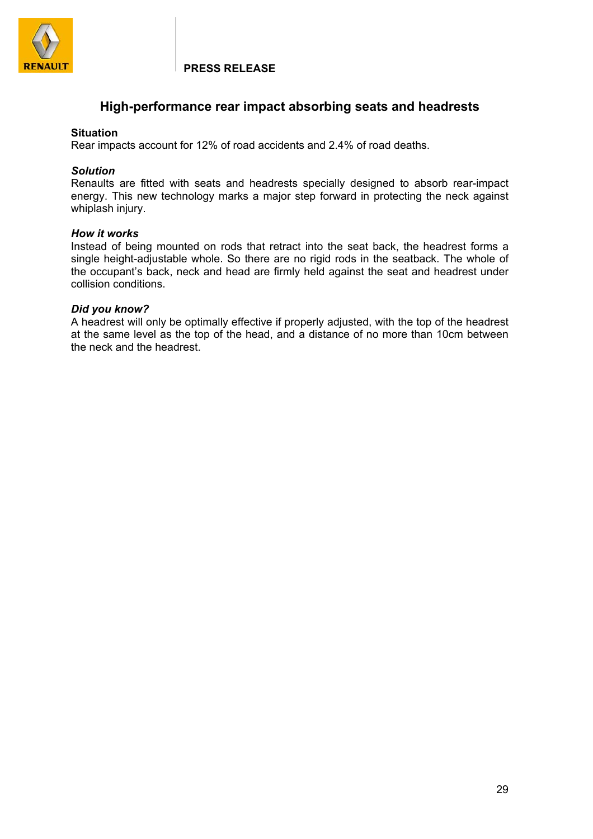

## **High-performance rear impact absorbing seats and headrests**

### **Situation**

Rear impacts account for 12% of road accidents and 2.4% of road deaths.

### *Solution*

Renaults are fitted with seats and headrests specially designed to absorb rear-impact energy. This new technology marks a major step forward in protecting the neck against whiplash injury.

### *How it works*

Instead of being mounted on rods that retract into the seat back, the headrest forms a single height-adjustable whole. So there are no rigid rods in the seatback. The whole of the occupant's back, neck and head are firmly held against the seat and headrest under collision conditions.

### *Did you know?*

A headrest will only be optimally effective if properly adjusted, with the top of the headrest at the same level as the top of the head, and a distance of no more than 10cm between the neck and the headrest.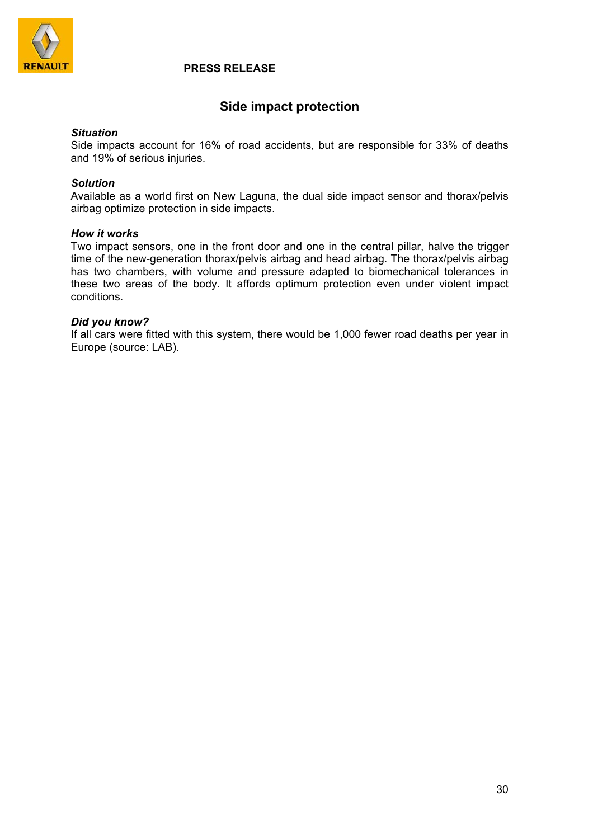

# **Side impact protection**

### *Situation*

Side impacts account for 16% of road accidents, but are responsible for 33% of deaths and 19% of serious injuries.

### *Solution*

Available as a world first on New Laguna, the dual side impact sensor and thorax/pelvis airbag optimize protection in side impacts.

### *How it works*

Two impact sensors, one in the front door and one in the central pillar, halve the trigger time of the new-generation thorax/pelvis airbag and head airbag. The thorax/pelvis airbag has two chambers, with volume and pressure adapted to biomechanical tolerances in these two areas of the body. It affords optimum protection even under violent impact conditions.

### *Did you know?*

If all cars were fitted with this system, there would be 1,000 fewer road deaths per year in Europe (source: LAB).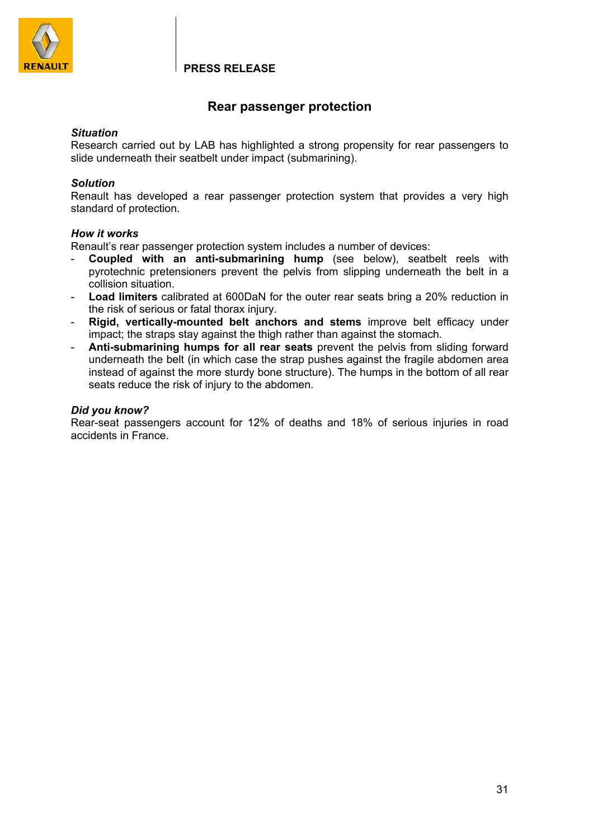

# **Rear passenger protection**

### *Situation*

Research carried out by LAB has highlighted a strong propensity for rear passengers to slide underneath their seatbelt under impact (submarining).

### *Solution*

Renault has developed a rear passenger protection system that provides a very high standard of protection.

### *How it works*

Renault's rear passenger protection system includes a number of devices:

- **Coupled with an anti-submarining hump** (see below), seatbelt reels with pyrotechnic pretensioners prevent the pelvis from slipping underneath the belt in a collision situation.
- **Load limiters** calibrated at 600DaN for the outer rear seats bring a 20% reduction in the risk of serious or fatal thorax injury.
- **Rigid, vertically-mounted belt anchors and stems** improve belt efficacy under impact; the straps stay against the thigh rather than against the stomach.
- **Anti-submarining humps for all rear seats** prevent the pelvis from sliding forward underneath the belt (in which case the strap pushes against the fragile abdomen area instead of against the more sturdy bone structure). The humps in the bottom of all rear seats reduce the risk of injury to the abdomen.

### *Did you know?*

Rear-seat passengers account for 12% of deaths and 18% of serious injuries in road accidents in France.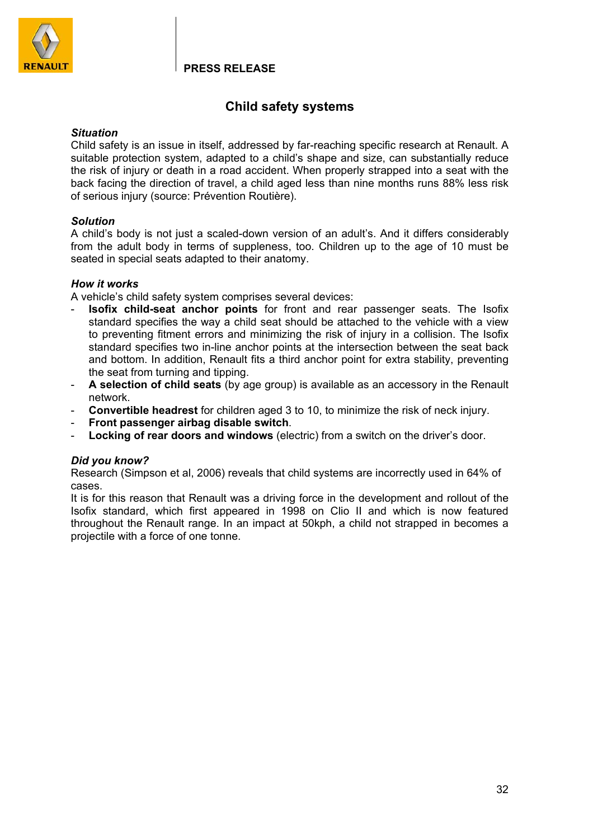

# **Child safety systems**

### *Situation*

Child safety is an issue in itself, addressed by far-reaching specific research at Renault. A suitable protection system, adapted to a child's shape and size, can substantially reduce the risk of injury or death in a road accident. When properly strapped into a seat with the back facing the direction of travel, a child aged less than nine months runs 88% less risk of serious injury (source: Prévention Routière).

### *Solution*

A child's body is not just a scaled-down version of an adult's. And it differs considerably from the adult body in terms of suppleness, too. Children up to the age of 10 must be seated in special seats adapted to their anatomy.

### *How it works*

A vehicle's child safety system comprises several devices:

- **Isofix child-seat anchor points** for front and rear passenger seats. The Isofix standard specifies the way a child seat should be attached to the vehicle with a view to preventing fitment errors and minimizing the risk of injury in a collision. The Isofix standard specifies two in-line anchor points at the intersection between the seat back and bottom. In addition, Renault fits a third anchor point for extra stability, preventing the seat from turning and tipping.
- **A selection of child seats** (by age group) is available as an accessory in the Renault network.
- **Convertible headrest** for children aged 3 to 10, to minimize the risk of neck injury.
- **Front passenger airbag disable switch**.
- **Locking of rear doors and windows** (electric) from a switch on the driver's door.

### *Did you know?*

Research (Simpson et al, 2006) reveals that child systems are incorrectly used in 64% of cases.

It is for this reason that Renault was a driving force in the development and rollout of the Isofix standard, which first appeared in 1998 on Clio II and which is now featured throughout the Renault range. In an impact at 50kph, a child not strapped in becomes a projectile with a force of one tonne.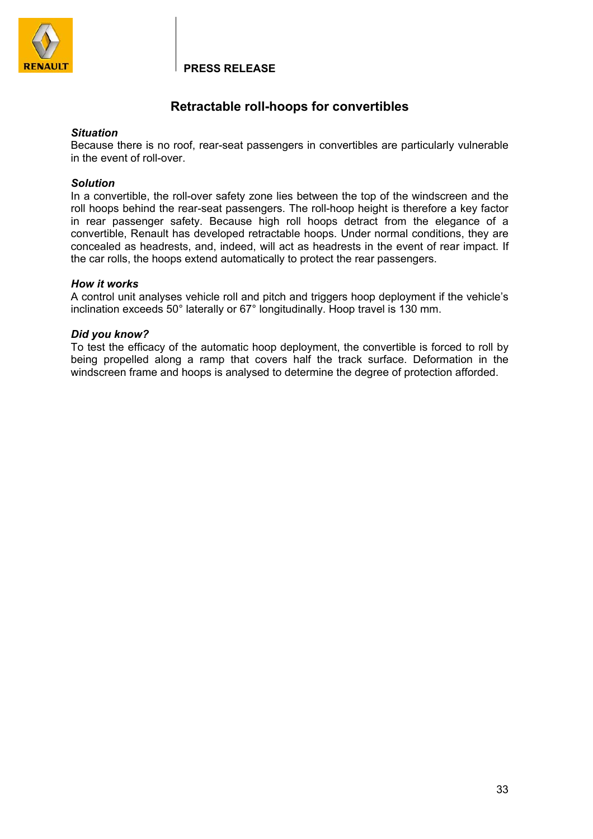

# **Retractable roll-hoops for convertibles**

### *Situation*

Because there is no roof, rear-seat passengers in convertibles are particularly vulnerable in the event of roll-over.

### *Solution*

In a convertible, the roll-over safety zone lies between the top of the windscreen and the roll hoops behind the rear-seat passengers. The roll-hoop height is therefore a key factor in rear passenger safety. Because high roll hoops detract from the elegance of a convertible, Renault has developed retractable hoops. Under normal conditions, they are concealed as headrests, and, indeed, will act as headrests in the event of rear impact. If the car rolls, the hoops extend automatically to protect the rear passengers.

### *How it works*

A control unit analyses vehicle roll and pitch and triggers hoop deployment if the vehicle's inclination exceeds 50° laterally or 67° longitudinally. Hoop travel is 130 mm.

### *Did you know?*

To test the efficacy of the automatic hoop deployment, the convertible is forced to roll by being propelled along a ramp that covers half the track surface. Deformation in the windscreen frame and hoops is analysed to determine the degree of protection afforded.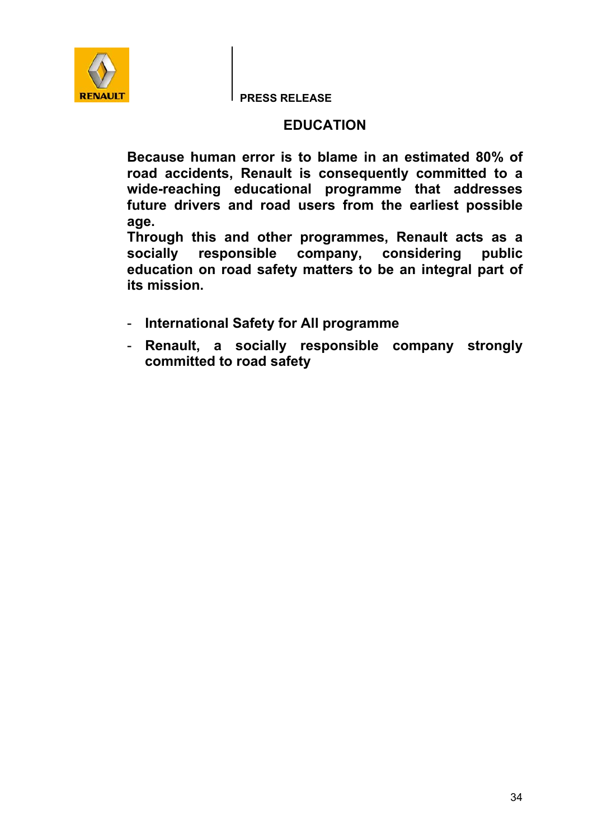

# **EDUCATION**

**Because human error is to blame in an estimated 80% of road accidents, Renault is consequently committed to a wide-reaching educational programme that addresses future drivers and road users from the earliest possible age.** 

**Through this and other programmes, Renault acts as a socially responsible company, considering public education on road safety matters to be an integral part of its mission.** 

- **International Safety for All programme**
- **Renault, a socially responsible company strongly committed to road safety**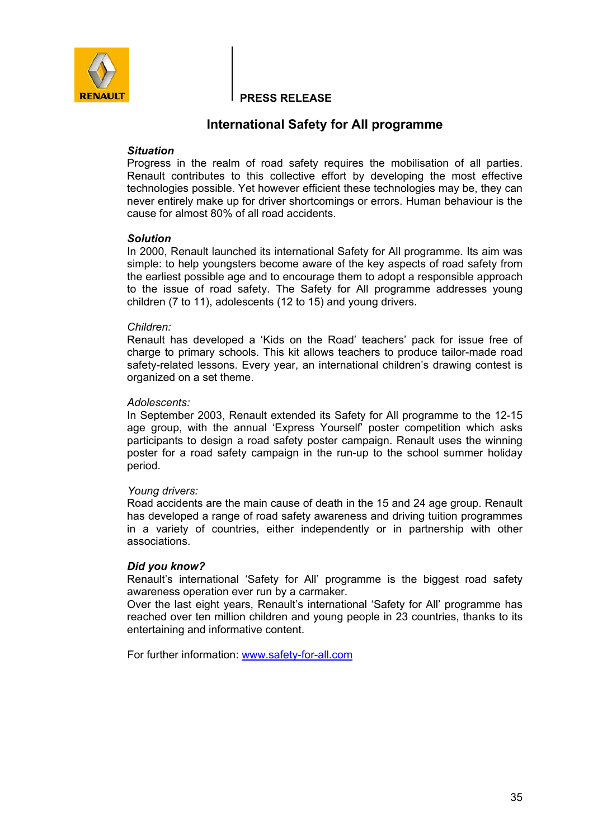

## **International Safety for All programme**

### *Situation*

Progress in the realm of road safety requires the mobilisation of all parties. Renault contributes to this collective effort by developing the most effective technologies possible. Yet however efficient these technologies may be, they can never entirely make up for driver shortcomings or errors. Human behaviour is the cause for almost 80% of all road accidents.

### *Solution*

In 2000, Renault launched its international Safety for All programme. Its aim was simple: to help youngsters become aware of the key aspects of road safety from the earliest possible age and to encourage them to adopt a responsible approach to the issue of road safety. The Safety for All programme addresses young children (7 to 11), adolescents (12 to 15) and young drivers.

### *Children:*

Renault has developed a 'Kids on the Road' teachers' pack for issue free of charge to primary schools. This kit allows teachers to produce tailor-made road safety-related lessons. Every year, an international children's drawing contest is organized on a set theme.

### *Adolescents:*

In September 2003, Renault extended its Safety for All programme to the 12-15 age group, with the annual 'Express Yourself' poster competition which asks participants to design a road safety poster campaign. Renault uses the winning poster for a road safety campaign in the run-up to the school summer holiday period.

### *Young drivers:*

Road accidents are the main cause of death in the 15 and 24 age group. Renault has developed a range of road safety awareness and driving tuition programmes in a variety of countries, either independently or in partnership with other associations.

### *Did you know?*

Renault's international 'Safety for All' programme is the biggest road safety awareness operation ever run by a carmaker.

Over the last eight years, Renault's international 'Safety for All' programme has reached over ten million children and young people in 23 countries, thanks to its entertaining and informative content.

For further information: www.safety-for-all.com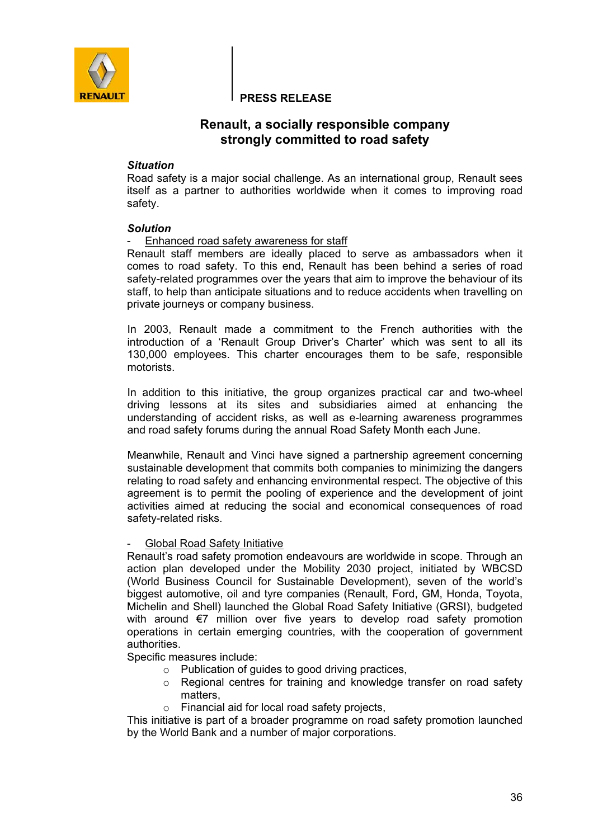

## **Renault, a socially responsible company strongly committed to road safety**

### *Situation*

Road safety is a major social challenge. As an international group, Renault sees itself as a partner to authorities worldwide when it comes to improving road safety.

### *Solution*

Enhanced road safety awareness for staff

Renault staff members are ideally placed to serve as ambassadors when it comes to road safety. To this end, Renault has been behind a series of road safety-related programmes over the years that aim to improve the behaviour of its staff, to help than anticipate situations and to reduce accidents when travelling on private journeys or company business.

In 2003, Renault made a commitment to the French authorities with the introduction of a 'Renault Group Driver's Charter' which was sent to all its 130,000 employees. This charter encourages them to be safe, responsible motorists.

In addition to this initiative, the group organizes practical car and two-wheel driving lessons at its sites and subsidiaries aimed at enhancing the understanding of accident risks, as well as e-learning awareness programmes and road safety forums during the annual Road Safety Month each June.

Meanwhile, Renault and Vinci have signed a partnership agreement concerning sustainable development that commits both companies to minimizing the dangers relating to road safety and enhancing environmental respect. The objective of this agreement is to permit the pooling of experience and the development of joint activities aimed at reducing the social and economical consequences of road safety-related risks.

### - Global Road Safety Initiative

Renault's road safety promotion endeavours are worldwide in scope. Through an action plan developed under the Mobility 2030 project, initiated by WBCSD (World Business Council for Sustainable Development), seven of the world's biggest automotive, oil and tyre companies (Renault, Ford, GM, Honda, Toyota, Michelin and Shell) launched the Global Road Safety Initiative (GRSI), budgeted with around €7 million over five years to develop road safety promotion operations in certain emerging countries, with the cooperation of government authorities.

Specific measures include:

- o Publication of guides to good driving practices,
- $\circ$  Regional centres for training and knowledge transfer on road safety matters,
- o Financial aid for local road safety projects,

This initiative is part of a broader programme on road safety promotion launched by the World Bank and a number of major corporations.